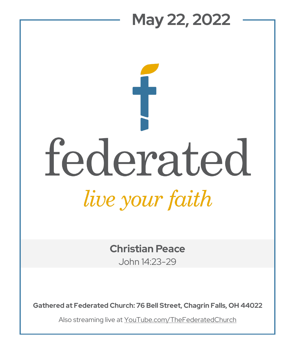## **May 22, 2022**  federated

*live your faith* 

**Christian Peace**

John 14:23-29

**Gathered at Federated Church: 76 Bell Street, Chagrin Falls, OH 44022**

Also streaming live at YouTube.com/TheFederatedChurch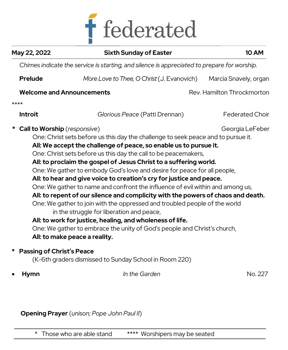

| May 22, 2022                                                                 | <b>Sixth Sunday of Easter</b>                                                                                                                                                                                                                                                                                                                                                                                                                                                                                                                                                                                                                                                                                                                                                                                                                                                                                                                                                           | <b>10 AM</b>               |
|------------------------------------------------------------------------------|-----------------------------------------------------------------------------------------------------------------------------------------------------------------------------------------------------------------------------------------------------------------------------------------------------------------------------------------------------------------------------------------------------------------------------------------------------------------------------------------------------------------------------------------------------------------------------------------------------------------------------------------------------------------------------------------------------------------------------------------------------------------------------------------------------------------------------------------------------------------------------------------------------------------------------------------------------------------------------------------|----------------------------|
|                                                                              | Chimes indicate the service is starting, and silence is appreciated to prepare for worship.                                                                                                                                                                                                                                                                                                                                                                                                                                                                                                                                                                                                                                                                                                                                                                                                                                                                                             |                            |
| <b>Prelude</b>                                                               | More Love to Thee, O Christ (J. Evanovich)                                                                                                                                                                                                                                                                                                                                                                                                                                                                                                                                                                                                                                                                                                                                                                                                                                                                                                                                              | Marcia Snavely, organ      |
|                                                                              | <b>Welcome and Announcements</b>                                                                                                                                                                                                                                                                                                                                                                                                                                                                                                                                                                                                                                                                                                                                                                                                                                                                                                                                                        | Rev. Hamilton Throckmorton |
| ****                                                                         |                                                                                                                                                                                                                                                                                                                                                                                                                                                                                                                                                                                                                                                                                                                                                                                                                                                                                                                                                                                         |                            |
| <b>Introit</b>                                                               | Glorious Peace (Patti Drennan)                                                                                                                                                                                                                                                                                                                                                                                                                                                                                                                                                                                                                                                                                                                                                                                                                                                                                                                                                          | <b>Federated Choir</b>     |
| <b>Call to Worship</b> (responsive)<br><b>Passing of Christ's Peace</b><br>* | One: Christ sets before us this day the challenge to seek peace and to pursue it.<br>All: We accept the challenge of peace, so enable us to pursue it.<br>One: Christ sets before us this day the call to be peacemakers,<br>All: to proclaim the gospel of Jesus Christ to a suffering world.<br>One: We gather to embody God's love and desire for peace for all people,<br>All: to hear and give voice to creation's cry for justice and peace.<br>One: We gather to name and confront the influence of evil within and among us,<br>All: to repent of our silence and complicity with the powers of chaos and death.<br>One: We gather to join with the oppressed and troubled people of the world<br>in the struggle for liberation and peace,<br>All: to work for justice, healing, and wholeness of life.<br>One: We gather to embrace the unity of God's people and Christ's church,<br>All: to make peace a reality.<br>(K-6th graders dismissed to Sunday School in Room 220) | Georgia LeFeber            |
| <b>Hymn</b>                                                                  | In the Garden                                                                                                                                                                                                                                                                                                                                                                                                                                                                                                                                                                                                                                                                                                                                                                                                                                                                                                                                                                           | No. 227                    |
|                                                                              |                                                                                                                                                                                                                                                                                                                                                                                                                                                                                                                                                                                                                                                                                                                                                                                                                                                                                                                                                                                         |                            |

**Opening Prayer** (*unison; Pope John Paul II*)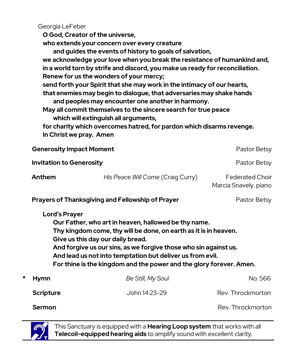Georgia LeFeber

**O God, Creator of the universe,** 

**who extends your concern over every creature** 

**and guides the events of history to goals of salvation, we acknowledge your love when you break the resistance of humankind and, in a world torn by strife and discord, you make us ready for reconciliation. Renew for us the wonders of your mercy;** 

**send forth your Spirit that she may work in the intimacy of our hearts, that enemies may begin to dialogue, that adversaries may shake hands** 

**and peoples may encounter one another in harmony.** 

**May all commit themselves to the sincere search for true peace which will extinguish all arguments,** 

**for charity which overcomes hatred, for pardon which disarms revenge. In Christ we pray. Amen** 

| <b>Generosity Impact Moment</b>                                                                                                                                                                                                                                                                                                                                                               | Pastor Betsy                      |                                          |  |  |
|-----------------------------------------------------------------------------------------------------------------------------------------------------------------------------------------------------------------------------------------------------------------------------------------------------------------------------------------------------------------------------------------------|-----------------------------------|------------------------------------------|--|--|
| <b>Invitation to Generosity</b>                                                                                                                                                                                                                                                                                                                                                               | Pastor Betsy                      |                                          |  |  |
| Anthem                                                                                                                                                                                                                                                                                                                                                                                        | His Peace Will Come (Craig Curry) | Federated Choir<br>Marcia Snavely, piano |  |  |
| <b>Prayers of Thanksgiving and Fellowship of Prayer</b><br>Pastor Betsy                                                                                                                                                                                                                                                                                                                       |                                   |                                          |  |  |
| <b>Lord's Prayer</b><br>Our Father, who art in heaven, hallowed be thy name.<br>Thy kingdom come, thy will be done, on earth as it is in heaven.<br>Give us this day our daily bread.<br>And forgive us our sins, as we forgive those who sin against us.<br>And lead us not into temptation but deliver us from evil.<br>For thine is the kingdom and the power and the glory forever. Amen. |                                   |                                          |  |  |
| *<br><b>Hymn</b>                                                                                                                                                                                                                                                                                                                                                                              | Be Still, My Soul                 | No. 566                                  |  |  |
| <b>Scripture</b>                                                                                                                                                                                                                                                                                                                                                                              | John 14:23-29                     | Rev. Throckmorton                        |  |  |
| <b>Sermon</b>                                                                                                                                                                                                                                                                                                                                                                                 |                                   | Rev. Throckmorton                        |  |  |

This Sanctuary is equipped with a **Hearing Loop system** that works with all **Telecoil-equipped hearing aids** to amplify sound with excellent clarity.